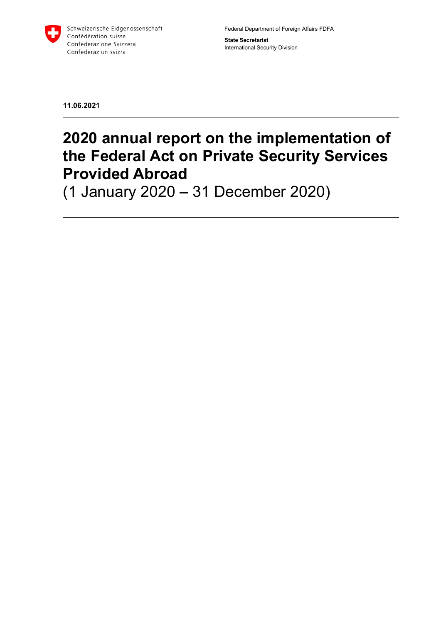

Federal Department of Foreign Affairs FDFA

**State Secretariat** International Security Division

**11.06.2021**

# **2020 annual report on the implementation of the Federal Act on Private Security Services Provided Abroad**

(1 January 2020 – 31 December 2020)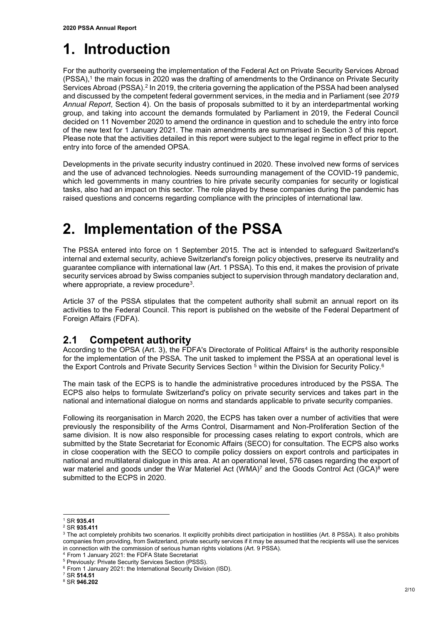# **1. Introduction**

For the authority overseeing the implementation of the Federal Act on Private Security Services Abroad (PSSA),<sup>1</sup> the main focus in 2020 was the drafting of amendments to the Ordinance on Private Security Services Abroad (PSSA).<sup>2</sup> In 2019, the criteria governing the application of the PSSA had been analysed and discussed by the competent federal government services, in the media and in Parliament (see *2019 Annual Report*, Section 4). On the basis of proposals submitted to it by an interdepartmental working group, and taking into account the demands formulated by Parliament in 2019, the Federal Council decided on 11 November 2020 to amend the ordinance in question and to schedule the entry into force of the new text for 1 January 2021. The main amendments are summarised in Section 3 of this report. Please note that the activities detailed in this report were subject to the legal regime in effect prior to the entry into force of the amended OPSA.

Developments in the private security industry continued in 2020. These involved new forms of services and the use of advanced technologies. Needs surrounding management of the COVID-19 pandemic, which led governments in many countries to hire private security companies for security or logistical tasks, also had an impact on this sector. The role played by these companies during the pandemic has raised questions and concerns regarding compliance with the principles of international law.

# **2. Implementation of the PSSA**

The PSSA entered into force on 1 September 2015. The act is intended to safeguard Switzerland's internal and external security, achieve Switzerland's foreign policy objectives, preserve its neutrality and guarantee compliance with international law (Art. 1 PSSA). To this end, it makes the provision of private security services abroad by Swiss companies subject to supervision through mandatory declaration and, where appropriate, a review procedure<sup>3</sup>.

Article 37 of the PSSA stipulates that the competent authority shall submit an annual report on its activities to the Federal Council. This report is published on the website of the Federal Department of Foreign Affairs (FDFA).

## **2.1 Competent authority**

According to the OPSA (Art. 3), the FDFA's Directorate of Political Affairs<sup>4</sup> is the authority responsible for the implementation of the PSSA. The unit tasked to implement the PSSA at an operational level is the Export Controls and Private Security Services Section <sup>5</sup> within the Division for Security Policy.<sup>6</sup>

The main task of the ECPS is to handle the administrative procedures introduced by the PSSA. The ECPS also helps to formulate Switzerland's policy on private security services and takes part in the national and international dialogue on norms and standards applicable to private security companies.

Following its reorganisation in March 2020, the ECPS has taken over a number of activities that were previously the responsibility of the Arms Control, Disarmament and Non-Proliferation Section of the same division. It is now also responsible for processing cases relating to export controls, which are submitted by the State Secretariat for Economic Affairs (SECO) for consultation. The ECPS also works in close cooperation with the SECO to compile policy dossiers on export controls and participates in national and multilateral dialogue in this area. At an operational level, 576 cases regarding the export of war materiel and goods under the War Materiel Act (WMA)<sup>7</sup> and the Goods Control Act (GCA)<sup>8</sup> were submitted to the ECPS in 2020.

<sup>1</sup> SR **935.41**

<sup>2</sup> SR **935.411**

<sup>&</sup>lt;sup>3</sup> The act completely prohibits two scenarios. It explicitly prohibits direct participation in hostilities (Art. 8 PSSA). It also prohibits companies from providing, from Switzerland, private security services if it may be assumed that the recipients will use the services in connection with the commission of serious human rights violations (Art. 9 PSSA).

<sup>4</sup> From 1 January 2021: the FDFA State Secretariat

<sup>&</sup>lt;sup>5</sup> Previously: Private Security Services Section (PSSS).

<sup>6</sup> From 1 January 2021: the International Security Division (ISD).

<sup>7</sup> SR **514.51**

<sup>8</sup> SR **946.202**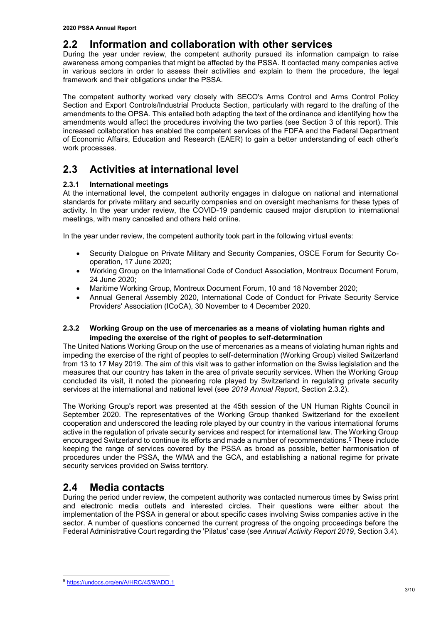### **2.2 Information and collaboration with other services**

During the year under review, the competent authority pursued its information campaign to raise awareness among companies that might be affected by the PSSA. It contacted many companies active in various sectors in order to assess their activities and explain to them the procedure, the legal framework and their obligations under the PSSA.

The competent authority worked very closely with SECO's Arms Control and Arms Control Policy Section and Export Controls/Industrial Products Section, particularly with regard to the drafting of the amendments to the OPSA. This entailed both adapting the text of the ordinance and identifying how the amendments would affect the procedures involving the two parties (see Section 3 of this report). This increased collaboration has enabled the competent services of the FDFA and the Federal Department of Economic Affairs, Education and Research (EAER) to gain a better understanding of each other's work processes.

## **2.3 Activities at international level**

#### **2.3.1 International meetings**

At the international level, the competent authority engages in dialogue on national and international standards for private military and security companies and on oversight mechanisms for these types of activity. In the year under review, the COVID-19 pandemic caused major disruption to international meetings, with many cancelled and others held online.

In the year under review, the competent authority took part in the following virtual events:

- Security Dialogue on Private Military and Security Companies, OSCE Forum for Security Cooperation, 17 June 2020;
- Working Group on the International Code of Conduct Association, Montreux Document Forum, 24 June 2020;
- Maritime Working Group, Montreux Document Forum, 10 and 18 November 2020;
- Annual General Assembly 2020, International Code of Conduct for Private Security Service Providers' Association (ICoCA), 30 November to 4 December 2020.

#### **2.3.2 Working Group on the use of mercenaries as a means of violating human rights and impeding the exercise of the right of peoples to self-determination**

The United Nations Working Group on the use of mercenaries as a means of violating human rights and impeding the exercise of the right of peoples to self-determination (Working Group) visited Switzerland from 13 to 17 May 2019. The aim of this visit was to gather information on the Swiss legislation and the measures that our country has taken in the area of private security services. When the Working Group concluded its visit, it noted the pioneering role played by Switzerland in regulating private security services at the international and national level (see *2019 Annual Report*, Section 2.3.2).

The Working Group's report was presented at the 45th session of the UN Human Rights Council in September 2020. The representatives of the Working Group thanked Switzerland for the excellent cooperation and underscored the leading role played by our country in the various international forums active in the regulation of private security services and respect for international law. The Working Group encouraged Switzerland to continue its efforts and made a number of recommendations.<sup>9</sup> These include keeping the range of services covered by the PSSA as broad as possible, better harmonisation of procedures under the PSSA, the WMA and the GCA, and establishing a national regime for private security services provided on Swiss territory.

### **2.4 Media contacts**

During the period under review, the competent authority was contacted numerous times by Swiss print and electronic media outlets and interested circles. Their questions were either about the implementation of the PSSA in general or about specific cases involving Swiss companies active in the sector. A number of questions concerned the current progress of the ongoing proceedings before the Federal Administrative Court regarding the 'Pilatus' case (see *Annual Activity Report 2019*, Section 3.4).

<sup>9</sup> <https://undocs.org/en/A/HRC/45/9/ADD.1>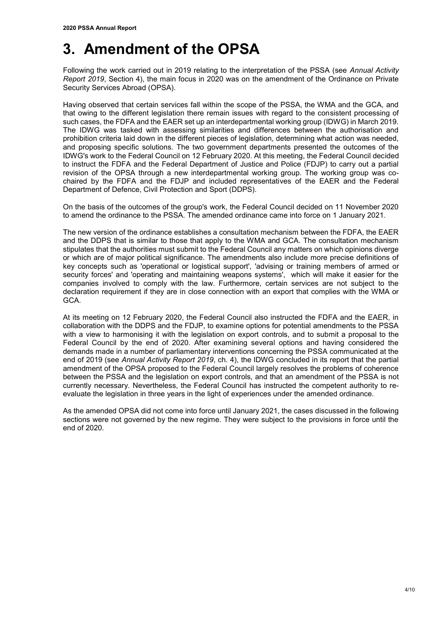# **3. Amendment of the OPSA**

Following the work carried out in 2019 relating to the interpretation of the PSSA (see *Annual Activity Report 2019*, Section 4), the main focus in 2020 was on the amendment of the Ordinance on Private Security Services Abroad (OPSA).

Having observed that certain services fall within the scope of the PSSA, the WMA and the GCA, and that owing to the different legislation there remain issues with regard to the consistent processing of such cases, the FDFA and the EAER set up an interdepartmental working group (IDWG) in March 2019. The IDWG was tasked with assessing similarities and differences between the authorisation and prohibition criteria laid down in the different pieces of legislation, determining what action was needed, and proposing specific solutions. The two government departments presented the outcomes of the IDWG's work to the Federal Council on 12 February 2020. At this meeting, the Federal Council decided to instruct the FDFA and the Federal Department of Justice and Police (FDJP) to carry out a partial revision of the OPSA through a new interdepartmental working group. The working group was cochaired by the FDFA and the FDJP and included representatives of the EAER and the Federal Department of Defence, Civil Protection and Sport (DDPS).

On the basis of the outcomes of the group's work, the Federal Council decided on 11 November 2020 to amend the ordinance to the PSSA. The amended ordinance came into force on 1 January 2021.

The new version of the ordinance establishes a consultation mechanism between the FDFA, the EAER and the DDPS that is similar to those that apply to the WMA and GCA. The consultation mechanism stipulates that the authorities must submit to the Federal Council any matters on which opinions diverge or which are of major political significance. The amendments also include more precise definitions of key concepts such as 'operational or logistical support', 'advising or training members of armed or security forces' and 'operating and maintaining weapons systems', which will make it easier for the companies involved to comply with the law. Furthermore, certain services are not subject to the declaration requirement if they are in close connection with an export that complies with the WMA or GCA.

At its meeting on 12 February 2020, the Federal Council also instructed the FDFA and the EAER, in collaboration with the DDPS and the FDJP, to examine options for potential amendments to the PSSA with a view to harmonising it with the legislation on export controls, and to submit a proposal to the Federal Council by the end of 2020. After examining several options and having considered the demands made in a number of parliamentary interventions concerning the PSSA communicated at the end of 2019 (see *Annual Activity Report 2019*, ch. 4), the IDWG concluded in its report that the partial amendment of the OPSA proposed to the Federal Council largely resolves the problems of coherence between the PSSA and the legislation on export controls, and that an amendment of the PSSA is not currently necessary. Nevertheless, the Federal Council has instructed the competent authority to reevaluate the legislation in three years in the light of experiences under the amended ordinance.

As the amended OPSA did not come into force until January 2021, the cases discussed in the following sections were not governed by the new regime. They were subject to the provisions in force until the end of 2020.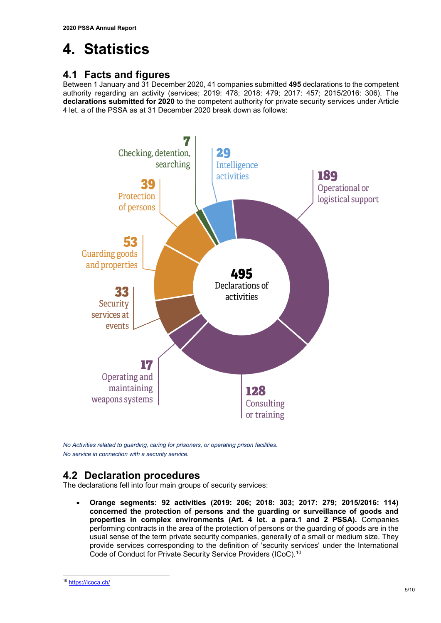# **4. Statistics**

### **4.1 Facts and figures**

Between 1 January and 31 December 2020, 41 companies submitted **495** declarations to the competent authority regarding an activity (services; 2019: 478; 2018: 479; 2017: 457; 2015/2016: 306). The **declarations submitted for 2020** to the competent authority for private security services under Article 4 let. a of the PSSA as at 31 December 2020 break down as follows:



*No Activities related to guarding, caring for prisoners, or operating prison facilities. No service in connection with a security service.*

## **4.2 Declaration procedures**

The declarations fell into four main groups of security services:

 **Orange segments: 92 activities (2019: 206; 2018: 303; 2017: 279; 2015/2016: 114) concerned the protection of persons and the guarding or surveillance of goods and properties in complex environments (Art. 4 let. a para.1 and 2 PSSA).** Companies performing contracts in the area of the protection of persons or the guarding of goods are in the usual sense of the term private security companies, generally of a small or medium size. They provide services corresponding to the definition of 'security services' under the International Code of Conduct for Private Security Service Providers (ICoC).<sup>10</sup>

<sup>10</sup> <https://icoca.ch/>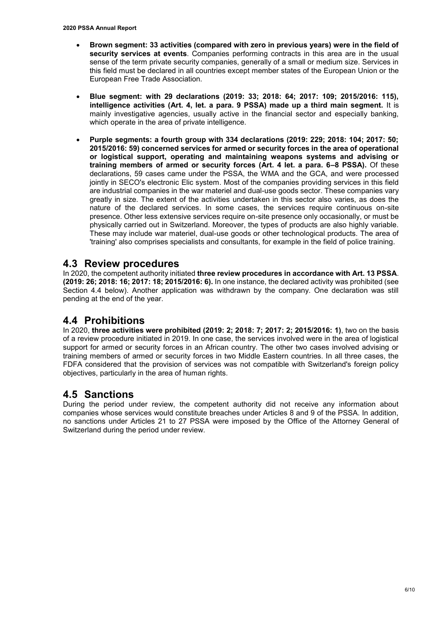- **Brown segment: 33 activities (compared with zero in previous years) were in the field of security services at events**. Companies performing contracts in this area are in the usual sense of the term private security companies, generally of a small or medium size. Services in this field must be declared in all countries except member states of the European Union or the European Free Trade Association.
- **Blue segment: with 29 declarations (2019: 33; 2018: 64; 2017: 109; 2015/2016: 115), intelligence activities (Art. 4, let. a para. 9 PSSA) made up a third main segment.** It is mainly investigative agencies, usually active in the financial sector and especially banking, which operate in the area of private intelligence.
- **Purple segments: a fourth group with 334 declarations (2019: 229; 2018: 104; 2017: 50; 2015/2016: 59) concerned services for armed or security forces in the area of operational or logistical support, operating and maintaining weapons systems and advising or training members of armed or security forces (Art. 4 let. a para. 6–8 PSSA).** Of these declarations, 59 cases came under the PSSA, the WMA and the GCA, and were processed jointly in SECO's electronic Elic system. Most of the companies providing services in this field are industrial companies in the war materiel and dual-use goods sector. These companies vary greatly in size. The extent of the activities undertaken in this sector also varies, as does the nature of the declared services. In some cases, the services require continuous on-site presence. Other less extensive services require on-site presence only occasionally, or must be physically carried out in Switzerland. Moreover, the types of products are also highly variable. These may include war materiel, dual-use goods or other technological products. The area of 'training' also comprises specialists and consultants, for example in the field of police training.

### **4.3 Review procedures**

In 2020, the competent authority initiated **three review procedures in accordance with Art. 13 PSSA**. **(2019: 26; 2018: 16; 2017: 18; 2015/2016: 6).** In one instance, the declared activity was prohibited (see Section 4.4 below). Another application was withdrawn by the company. One declaration was still pending at the end of the year.

### **4.4 Prohibitions**

In 2020, **three activities were prohibited (2019: 2; 2018: 7; 2017: 2; 2015/2016: 1)**, two on the basis of a review procedure initiated in 2019. In one case, the services involved were in the area of logistical support for armed or security forces in an African country. The other two cases involved advising or training members of armed or security forces in two Middle Eastern countries. In all three cases, the FDFA considered that the provision of services was not compatible with Switzerland's foreign policy objectives, particularly in the area of human rights.

### **4.5 Sanctions**

During the period under review, the competent authority did not receive any information about companies whose services would constitute breaches under Articles 8 and 9 of the PSSA. In addition, no sanctions under Articles 21 to 27 PSSA were imposed by the Office of the Attorney General of Switzerland during the period under review.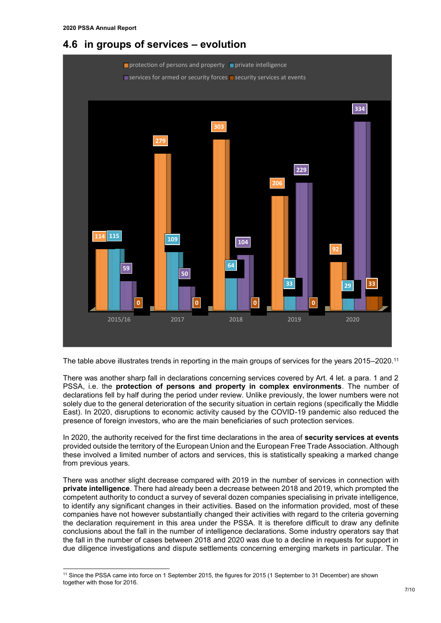-

### **4.6 in groups of services – evolution**



The table above illustrates trends in reporting in the main groups of services for the years 2015–2020.<sup>11</sup>

There was another sharp fall in declarations concerning services covered by Art. 4 let. a para. 1 and 2 PSSA, i.e. the **protection of persons and property in complex environments**. The number of declarations fell by half during the period under review. Unlike previously, the lower numbers were not solely due to the general deterioration of the security situation in certain regions (specifically the Middle East). In 2020, disruptions to economic activity caused by the COVID-19 pandemic also reduced the presence of foreign investors, who are the main beneficiaries of such protection services.

In 2020, the authority received for the first time declarations in the area of **security services at events** provided outside the territory of the European Union and the European Free Trade Association. Although these involved a limited number of actors and services, this is statistically speaking a marked change from previous years.

There was another slight decrease compared with 2019 in the number of services in connection with **private intelligence**. There had already been a decrease between 2018 and 2019, which prompted the competent authority to conduct a survey of several dozen companies specialising in private intelligence, to identify any significant changes in their activities. Based on the information provided, most of these companies have not however substantially changed their activities with regard to the criteria governing the declaration requirement in this area under the PSSA. It is therefore difficult to draw any definite conclusions about the fall in the number of intelligence declarations. Some industry operators say that the fall in the number of cases between 2018 and 2020 was due to a decline in requests for support in due diligence investigations and dispute settlements concerning emerging markets in particular. The

<sup>&</sup>lt;sup>11</sup> Since the PSSA came into force on 1 September 2015, the figures for 2015 (1 September to 31 December) are shown together with those for 2016.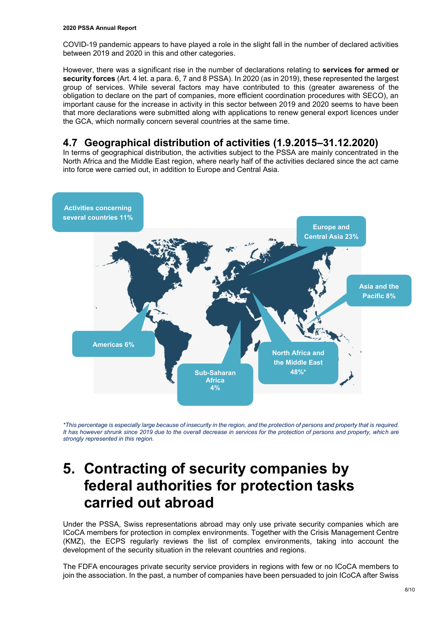COVID-19 pandemic appears to have played a role in the slight fall in the number of declared activities between 2019 and 2020 in this and other categories.

However, there was a significant rise in the number of declarations relating to **services for armed or security forces** (Art. 4 let. a para. 6, 7 and 8 PSSA). In 2020 (as in 2019), these represented the largest group of services. While several factors may have contributed to this (greater awareness of the obligation to declare on the part of companies, more efficient coordination procedures with SECO), an important cause for the increase in activity in this sector between 2019 and 2020 seems to have been that more declarations were submitted along with applications to renew general export licences under the GCA, which normally concern several countries at the same time.

### **4.7 Geographical distribution of activities (1.9.2015–31.12.2020)**

In terms of geographical distribution, the activities subject to the PSSA are mainly concentrated in the North Africa and the Middle East region, where nearly half of the activities declared since the act came into force were carried out, in addition to Europe and Central Asia.



*\*This percentage is especially large because of insecurity in the region, and the protection of persons and property that is required.*  It has however shrunk since 2019 due to the overall decrease in services for the protection of persons and property, which are *strongly represented in this region.* 

# **5. Contracting of security companies by federal authorities for protection tasks carried out abroad**

Under the PSSA, Swiss representations abroad may only use private security companies which are ICoCA members for protection in complex environments. Together with the Crisis Management Centre (KMZ), the ECPS regularly reviews the list of complex environments, taking into account the development of the security situation in the relevant countries and regions.

The FDFA encourages private security service providers in regions with few or no ICoCA members to join the association. In the past, a number of companies have been persuaded to join ICoCA after Swiss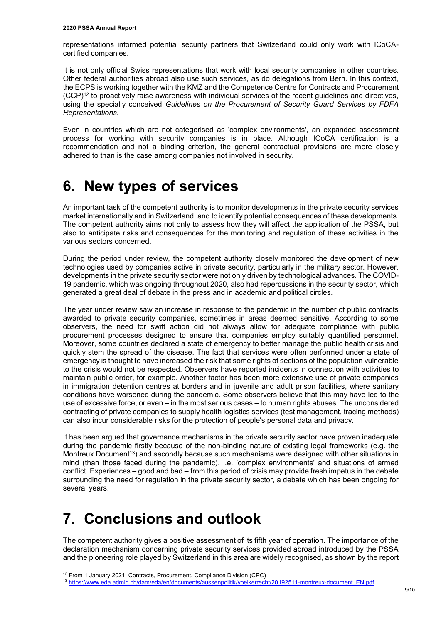representations informed potential security partners that Switzerland could only work with ICoCAcertified companies.

It is not only official Swiss representations that work with local security companies in other countries. Other federal authorities abroad also use such services, as do delegations from Bern. In this context, the ECPS is working together with the KMZ and the Competence Centre for Contracts and Procurement  $(CCP)^{12}$  to proactively raise awareness with individual services of the recent quidelines and directives, using the specially conceived *Guidelines on the Procurement of Security Guard Services by FDFA Representations.*

Even in countries which are not categorised as 'complex environments', an expanded assessment process for working with security companies is in place. Although ICoCA certification is a recommendation and not a binding criterion, the general contractual provisions are more closely adhered to than is the case among companies not involved in security.

# **6. New types of services**

An important task of the competent authority is to monitor developments in the private security services market internationally and in Switzerland, and to identify potential consequences of these developments. The competent authority aims not only to assess how they will affect the application of the PSSA, but also to anticipate risks and consequences for the monitoring and regulation of these activities in the various sectors concerned.

During the period under review, the competent authority closely monitored the development of new technologies used by companies active in private security, particularly in the military sector. However, developments in the private security sector were not only driven by technological advances. The COVID-19 pandemic, which was ongoing throughout 2020, also had repercussions in the security sector, which generated a great deal of debate in the press and in academic and political circles.

The year under review saw an increase in response to the pandemic in the number of public contracts awarded to private security companies, sometimes in areas deemed sensitive. According to some observers, the need for swift action did not always allow for adequate compliance with public procurement processes designed to ensure that companies employ suitably quantified personnel. Moreover, some countries declared a state of emergency to better manage the public health crisis and quickly stem the spread of the disease. The fact that services were often performed under a state of emergency is thought to have increased the risk that some rights of sections of the population vulnerable to the crisis would not be respected. Observers have reported incidents in connection with activities to maintain public order, for example. Another factor has been more extensive use of private companies in immigration detention centres at borders and in juvenile and adult prison facilities, where sanitary conditions have worsened during the pandemic. Some observers believe that this may have led to the use of excessive force, or even – in the most serious cases – to human rights abuses. The unconsidered contracting of private companies to supply health logistics services (test management, tracing methods) can also incur considerable risks for the protection of people's personal data and privacy.

It has been argued that governance mechanisms in the private security sector have proven inadequate during the pandemic firstly because of the non-binding nature of existing legal frameworks (e.g. the Montreux Document<sup>13</sup>) and secondly because such mechanisms were designed with other situations in mind (than those faced during the pandemic), i.e. 'complex environments' and situations of armed conflict. Experiences – good and bad – from this period of crisis may provide fresh impetus in the debate surrounding the need for regulation in the private security sector, a debate which has been ongoing for several years.

# **7. Conclusions and outlook**

The competent authority gives a positive assessment of its fifth year of operation. The importance of the declaration mechanism concerning private security services provided abroad introduced by the PSSA and the pioneering role played by Switzerland in this area are widely recognised, as shown by the report

<sup>&</sup>lt;sup>12</sup> From 1 January 2021: Contracts, Procurement, Compliance Division (CPC)

<sup>13</sup> [https://www.eda.admin.ch/dam/eda/en/documents/aussenpolitik/voelkerrecht/20192511-montreux-document\\_EN.pdf](https://www.eda.admin.ch/dam/eda/en/documents/aussenpolitik/voelkerrecht/20192511-montreux-document_EN.pdf)